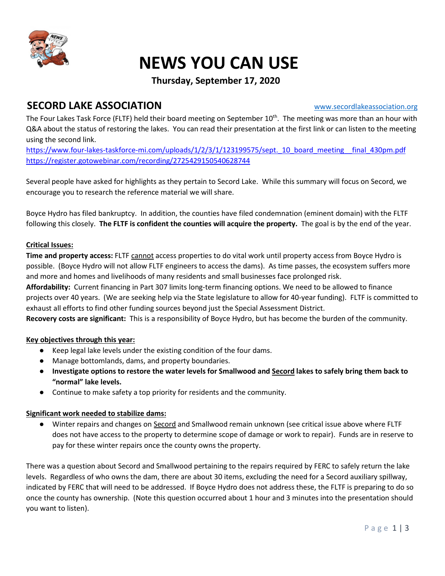

# NEWS YOU CAN USE

### Thursday, September 17, 2020

# SECORD LAKE ASSOCIATION WWW.secordlakeassociation.org

The Four Lakes Task Force (FLTF) held their board meeting on September 10<sup>th</sup>. The meeting was more than an hour with Q&A about the status of restoring the lakes. You can read their presentation at the first link or can listen to the meeting using the second link.

https://www.four-lakes-taskforce-mi.com/uploads/1/2/3/1/123199575/sept.\_10\_board\_meeting\_\_final\_430pm.pdf https://register.gotowebinar.com/recording/2725429150540628744

Several people have asked for highlights as they pertain to Secord Lake. While this summary will focus on Secord, we encourage you to research the reference material we will share.

Boyce Hydro has filed bankruptcy. In addition, the counties have filed condemnation (eminent domain) with the FLTF following this closely. The FLTF is confident the counties will acquire the property. The goal is by the end of the year.

### Critical Issues:

Time and property access: FLTF cannot access properties to do vital work until property access from Boyce Hydro is possible. (Boyce Hydro will not allow FLTF engineers to access the dams). As time passes, the ecosystem suffers more and more and homes and livelihoods of many residents and small businesses face prolonged risk.

Affordability: Current financing in Part 307 limits long-term financing options. We need to be allowed to finance projects over 40 years. (We are seeking help via the State legislature to allow for 40-year funding). FLTF is committed to exhaust all efforts to find other funding sources beyond just the Special Assessment District.

Recovery costs are significant: This is a responsibility of Boyce Hydro, but has become the burden of the community.

### Key objectives through this year:

- Keep legal lake levels under the existing condition of the four dams.
- Manage bottomlands, dams, and property boundaries.
- Investigate options to restore the water levels for Smallwood and Secord lakes to safely bring them back to "normal" lake levels.
- Continue to make safety a top priority for residents and the community.

### Significant work needed to stabilize dams:

● Winter repairs and changes on Secord and Smallwood remain unknown (see critical issue above where FLTF does not have access to the property to determine scope of damage or work to repair). Funds are in reserve to pay for these winter repairs once the county owns the property.

There was a question about Secord and Smallwood pertaining to the repairs required by FERC to safely return the lake levels. Regardless of who owns the dam, there are about 30 items, excluding the need for a Secord auxiliary spillway, indicated by FERC that will need to be addressed. If Boyce Hydro does not address these, the FLTF is preparing to do so once the county has ownership. (Note this question occurred about 1 hour and 3 minutes into the presentation should you want to listen).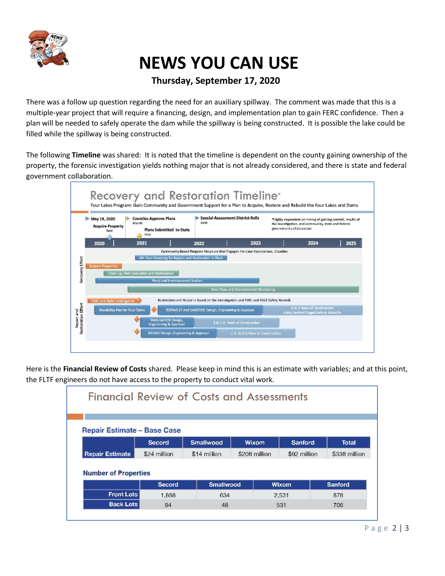

# NEWS YOU CAN USE

## Thursday, September 17, 2020

There was a follow up question regarding the need for an auxiliary spillway. The comment was made that this is a multiple-year project that will require a financing, design, and implementation plan to gain FERC confidence. Then a plan will be needed to safely operate the dam while the spillway is being constructed. It is possible the lake could be filled while the spillway is being constructed.

The following Timeline was shared: It is noted that the timeline is dependent on the county gaining ownership of the property, the forensic investigation yields nothing major that is not already considered, and there is state and federal government collaboration.



Here is the Financial Review of Costs shared. Please keep in mind this is an estimate with variables; and at this point, the FLTF engineers do not have access to the property to conduct vital work.

| <b>Financial Review of Costs and Assessments</b> |               |                  |                        |       |              |                               |
|--------------------------------------------------|---------------|------------------|------------------------|-------|--------------|-------------------------------|
| <b>Repair Estimate - Base Case</b>               |               |                  |                        |       |              |                               |
|                                                  | Secord        | <b>Smallwood</b> | Wixom<br>\$208 million |       | Sanford      | <b>Total</b><br>\$338 million |
| <b>Repair Estimate</b>                           | \$24 million  | \$14 million     |                        |       | \$92 million |                               |
| <b>Number of Properties</b>                      |               |                  |                        |       |              |                               |
|                                                  | <b>Secord</b> | <b>Smallwood</b> |                        | Wixom |              | <b>Sanford</b>                |
| <b>Front Lots</b>                                | 1.888         | 634              |                        | 2,531 |              | 878                           |
|                                                  |               |                  |                        |       |              |                               |